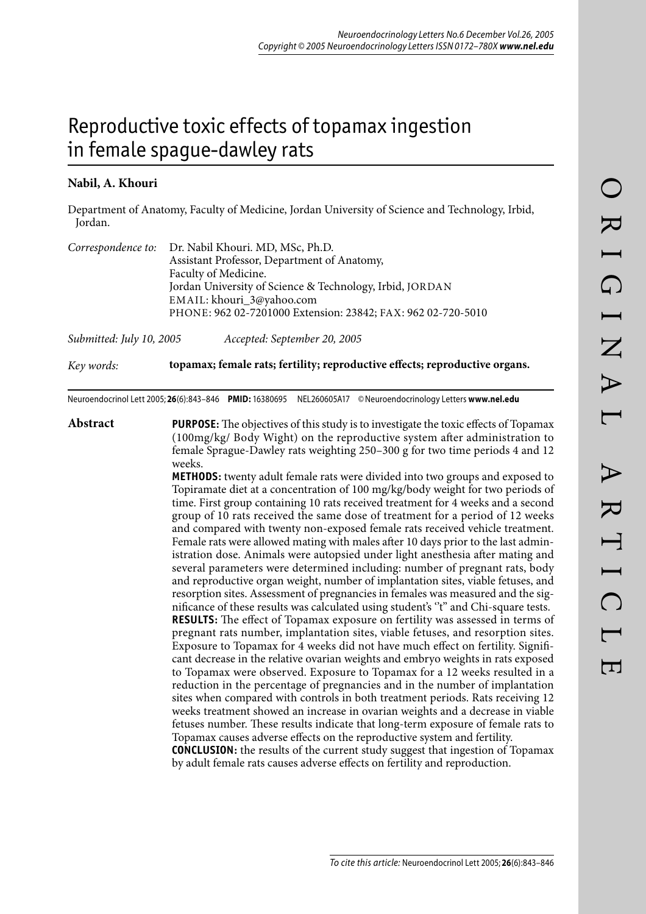# Reproductive toxic effects of topamax ingestion in female spague-dawley rats

# **Nabil, A. Khouri**

Department of Anatomy, Faculty of Medicine, Jordan University of Science and Technology, Irbid, Jordan.

|                          | Correspondence to: Dr. Nabil Khouri. MD, MSc, Ph.D.          |
|--------------------------|--------------------------------------------------------------|
|                          | Assistant Professor, Department of Anatomy,                  |
|                          | Faculty of Medicine.                                         |
|                          | Jordan University of Science & Technology, Irbid, JORDAN     |
|                          | EMAIL: khouri_3@yahoo.com                                    |
|                          | PHONE: 962 02-7201000 Extension: 23842; FAX: 962 02-720-5010 |
| Submitted: July 10, 2005 | Accepted: September 20, 2005                                 |

*Key words:* **topamax; female rats; fertility; reproductive effects; reproductive organs.**

Neuroendocrinol Lett 2005; **26**(6):843–846 **PMID:** 16380695 NEL260605A17 © Neuroendocrinology Letters **www.nel.edu**

**Abstract PURPOSE:** The objectives of this study is to investigate the toxic effects of Topamax (100mg/kg/ Body Wight) on the reproductive system after administration to female Sprague-Dawley rats weighting 250–300 g for two time periods 4 and 12 weeks.

> **METHODS:** twenty adult female rats were divided into two groups and exposed to Topiramate diet at a concentration of 100 mg/kg/body weight for two periods of time. First group containing 10 rats received treatment for 4 weeks and a second group of 10 rats received the same dose of treatment for a period of 12 weeks and compared with twenty non-exposed female rats received vehicle treatment. Female rats were allowed mating with males after 10 days prior to the last administration dose. Animals were autopsied under light anesthesia after mating and several parameters were determined including: number of pregnant rats, body and reproductive organ weight, number of implantation sites, viable fetuses, and resorption sites. Assessment of pregnancies in females was measured and the significance of these results was calculated using student's ''t'' and Chi-square tests. **RESULTS:** The effect of Topamax exposure on fertility was assessed in terms of pregnant rats number, implantation sites, viable fetuses, and resorption sites. Exposure to Topamax for 4 weeks did not have much effect on fertility. Significant decrease in the relative ovarian weights and embryo weights in rats exposed to Topamax were observed. Exposure to Topamax for a 12 weeks resulted in a reduction in the percentage of pregnancies and in the number of implantation sites when compared with controls in both treatment periods. Rats receiving 12 weeks treatment showed an increase in ovarian weights and a decrease in viable fetuses number. These results indicate that long-term exposure of female rats to Topamax causes adverse effects on the reproductive system and fertility. **CONCLUSION:** the results of the current study suggest that ingestion of Topamax

by adult female rats causes adverse effects on fertility and reproduction.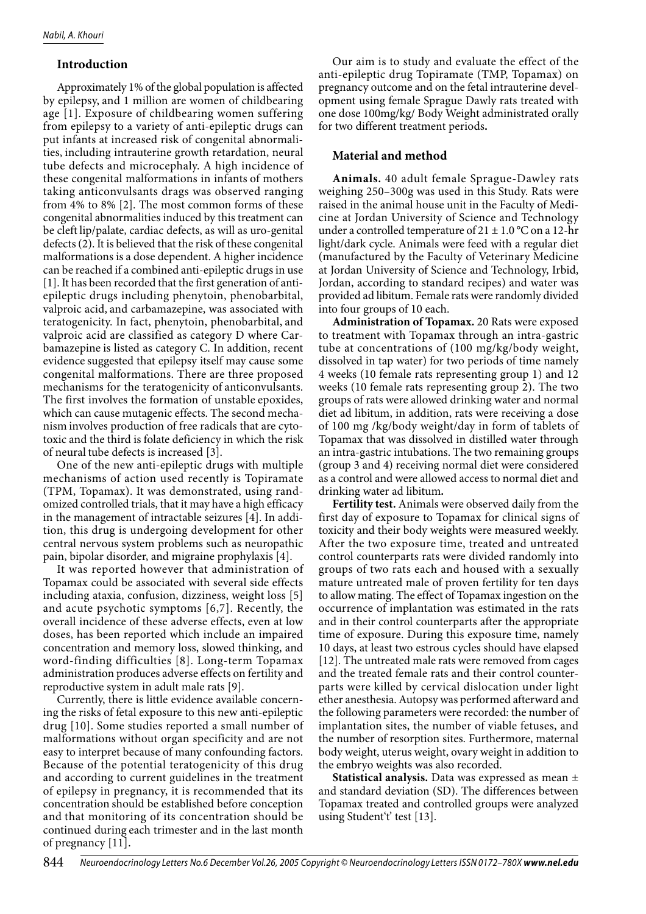## **Introduction**

Approximately 1% of the global population is affected by epilepsy, and 1 million are women of childbearing age [1]. Exposure of childbearing women suffering from epilepsy to a variety of anti-epileptic drugs can put infants at increased risk of congenital abnormalities, including intrauterine growth retardation, neural tube defects and microcephaly. A high incidence of these congenital malformations in infants of mothers taking anticonvulsants drags was observed ranging from 4% to 8% [2]. The most common forms of these congenital abnormalities induced by this treatment can be cleft lip/palate, cardiac defects, as will as uro-genital defects (2). It is believed that the risk of these congenital malformations is a dose dependent. A higher incidence can be reached if a combined anti-epileptic drugs in use [1]. It has been recorded that the first generation of antiepileptic drugs including phenytoin, phenobarbital, valproic acid, and carbamazepine, was associated with teratogenicity. In fact, phenytoin, phenobarbital, and valproic acid are classified as category D where Carbamazepine is listed as category C. In addition, recent evidence suggested that epilepsy itself may cause some congenital malformations. There are three proposed mechanisms for the teratogenicity of anticonvulsants. The first involves the formation of unstable epoxides, which can cause mutagenic effects. The second mechanism involves production of free radicals that are cytotoxic and the third is folate deficiency in which the risk of neural tube defects is increased [3].

One of the new anti-epileptic drugs with multiple mechanisms of action used recently is Topiramate (TPM, Topamax). It was demonstrated, using randomized controlled trials, that it may have a high efficacy in the management of intractable seizures [4]. In addition, this drug is undergoing development for other central nervous system problems such as neuropathic pain, bipolar disorder, and migraine prophylaxis [4].

It was reported however that administration of Topamax could be associated with several side effects including ataxia, confusion, dizziness, weight loss [5] and acute psychotic symptoms [6,7]. Recently, the overall incidence of these adverse effects, even at low doses, has been reported which include an impaired concentration and memory loss, slowed thinking, and word-finding difficulties [8]. Long-term Topamax administration produces adverse effects on fertility and reproductive system in adult male rats [9].

Currently, there is little evidence available concerning the risks of fetal exposure to this new anti-epileptic drug [10]. Some studies reported a small number of malformations without organ specificity and are not easy to interpret because of many confounding factors. Because of the potential teratogenicity of this drug and according to current guidelines in the treatment of epilepsy in pregnancy, it is recommended that its concentration should be established before conception and that monitoring of its concentration should be continued during each trimester and in the last month of pregnancy [11].

Our aim is to study and evaluate the effect of the anti-epileptic drug Topiramate (TMP, Topamax) on pregnancy outcome and on the fetal intrauterine development using female Sprague Dawly rats treated with one dose 100mg/kg/ Body Weight administrated orally for two different treatment periods**.**

## **Material and method**

**Animals.** 40 adult female Sprague-Dawley rats weighing 250–300g was used in this Study. Rats were raised in the animal house unit in the Faculty of Medicine at Jordan University of Science and Technology under a controlled temperature of  $21 \pm 1.0$  °C on a 12-hr light/dark cycle. Animals were feed with a regular diet (manufactured by the Faculty of Veterinary Medicine at Jordan University of Science and Technology, Irbid, Jordan, according to standard recipes) and water was provided ad libitum. Female rats were randomly divided into four groups of 10 each.

**Administration of Topamax.** 20 Rats were exposed to treatment with Topamax through an intra-gastric tube at concentrations of (100 mg/kg/body weight, dissolved in tap water) for two periods of time namely 4 weeks (10 female rats representing group 1) and 12 weeks (10 female rats representing group 2). The two groups of rats were allowed drinking water and normal diet ad libitum, in addition, rats were receiving a dose of 100 mg /kg/body weight/day in form of tablets of Topamax that was dissolved in distilled water through an intra-gastric intubations. The two remaining groups (group 3 and 4) receiving normal diet were considered as a control and were allowed access to normal diet and drinking water ad libitum*.* 

**Fertility test.** Animals were observed daily from the first day of exposure to Topamax for clinical signs of toxicity and their body weights were measured weekly. After the two exposure time, treated and untreated control counterparts rats were divided randomly into groups of two rats each and housed with a sexually mature untreated male of proven fertility for ten days to allow mating. The effect of Topamax ingestion on the occurrence of implantation was estimated in the rats and in their control counterparts after the appropriate time of exposure. During this exposure time, namely 10 days, at least two estrous cycles should have elapsed [12]. The untreated male rats were removed from cages and the treated female rats and their control counterparts were killed by cervical dislocation under light ether anesthesia. Autopsy was performed afterward and the following parameters were recorded: the number of implantation sites, the number of viable fetuses, and the number of resorption sites. Furthermore, maternal body weight, uterus weight, ovary weight in addition to the embryo weights was also recorded.

**Statistical analysis.** Data was expressed as mean ± and standard deviation (SD). The differences between Topamax treated and controlled groups were analyzed using Student't' test [13].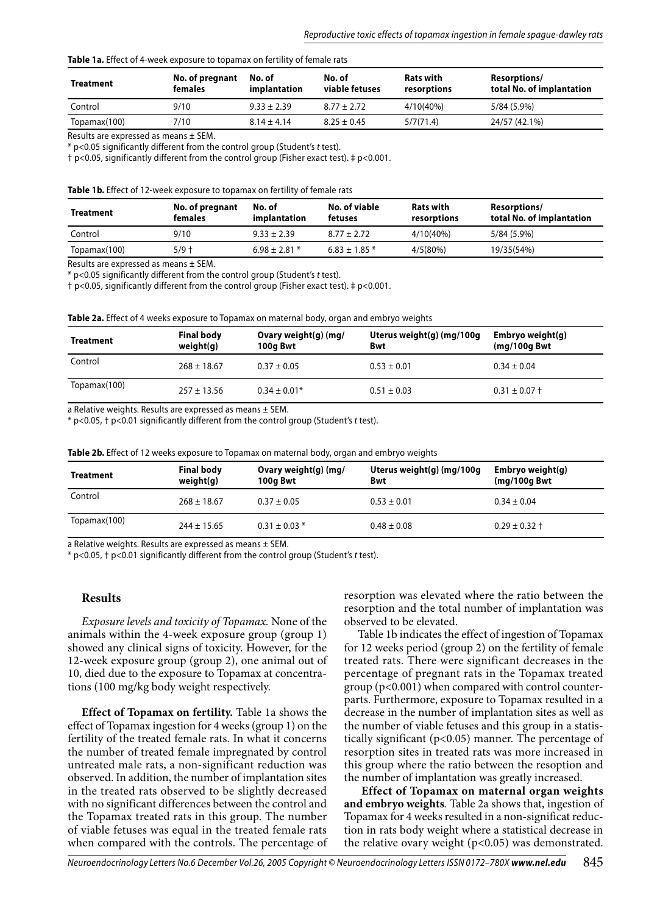#### **Table 1a.** Effect of 4-week exposure to topamax on fertility of female rats

| <b>Treatment</b> | No. of pregnant<br>females | No. of<br>implantation | No. of<br>viable fetuses | <b>Rats with</b><br>resorptions | Resorptions/<br>total No. of implantation |
|------------------|----------------------------|------------------------|--------------------------|---------------------------------|-------------------------------------------|
| Control          | 9/10                       | $9.33 \pm 2.39$        | $8.77 \pm 2.72$          | 4/10(40%)                       | 5/84 (5.9%)                               |
| Topamax(100)     | 7/10                       | $8.14 \pm 4.14$        | $8.25 \pm 0.45$          | 5/7(71.4)                       | 24/57 (42.1%)                             |

Results are expressed as means ± SEM.

\* p<0.05 significantly different from the control group (Student's t test).

† p<0.05, significantly different from the control group (Fisher exact test). ‡ p<0.001.

**Table 1b.** Effect of 12-week exposure to topamax on fertility of female rats

| <b>Treatment</b> | No. of pregnant<br>females | No. of<br>implantation | No. of viable<br>fetuses | <b>Rats with</b><br>resorptions | Resorptions/<br>total No. of implantation |
|------------------|----------------------------|------------------------|--------------------------|---------------------------------|-------------------------------------------|
| Control          | 9/10                       | $9.33 + 2.39$          | $8.77 \pm 2.72$          | $4/10(40\%)$                    | 5/84 (5.9%)                               |
| Topamax(100)     | $5/9 +$                    | $6.98 + 2.81*$         | $6.83 \pm 1.85$ *        | 4/5(80%)                        | 19/35(54%)                                |

Results are expressed as means ± SEM.

\* p<0.05 significantly different from the control group (Student's t test).

† p<0.05, significantly different from the control group (Fisher exact test). ‡ p<0.001.

| Table 2a. Effect of 4 weeks exposure to Topamax on maternal body, organ and embryo weights |  |  |  |  |  |  |  |  |  |  |
|--------------------------------------------------------------------------------------------|--|--|--|--|--|--|--|--|--|--|
|--------------------------------------------------------------------------------------------|--|--|--|--|--|--|--|--|--|--|

| Treatment    | <b>Final body</b><br>weight(q) | Ovary weight(g) (mg/<br>100g Bwt | Uterus weight(g) (mg/100g<br><b>Bwt</b> | Embryo weight(g)<br>$(mq/100q$ Bwt |
|--------------|--------------------------------|----------------------------------|-----------------------------------------|------------------------------------|
| Control      | $268 \pm 18.67$                | $0.37 \pm 0.05$                  | $0.53 \pm 0.01$                         | $0.34 \pm 0.04$                    |
| Topamax(100) | $257 \pm 13.56$                | $0.34 \pm 0.01*$                 | $0.51 \pm 0.03$                         | $0.31 \pm 0.07 \pm 0.07$           |

a Relative weights. Results are expressed as means ± SEM.

\* p<0.05, † p<0.01 significantly different from the control group (Student's t test).

| Table 2b. Effect of 12 weeks exposure to Topamax on maternal body, organ and embryo weights |  |  |  |  |
|---------------------------------------------------------------------------------------------|--|--|--|--|
|---------------------------------------------------------------------------------------------|--|--|--|--|

| <b>Treatment</b> | <b>Final body</b><br>weight(q) | Ovary weight(g) (mg/<br>100a Bwt | Uterus weight(g) (mg/100g<br><b>Bwt</b> | Embryo weight(g)<br>$(mq/100q$ Bwt |
|------------------|--------------------------------|----------------------------------|-----------------------------------------|------------------------------------|
| Control          | $268 \pm 18.67$                | $0.37 \pm 0.05$                  | $0.53 \pm 0.01$                         | $0.34 \pm 0.04$                    |
| Topamax(100)     | $244 \pm 15.65$                | $0.31 \pm 0.03$ *                | $0.48 \pm 0.08$                         | $0.29 \pm 0.32 \pm 1$              |

a Relative weights. Results are expressed as means ± SEM.

\* p<0.05, † p<0.01 significantly different from the control group (Student's t test).

#### **Results**

*Exposure levels and toxicity of Topamax.* None of the animals within the 4-week exposure group (group 1) showed any clinical signs of toxicity. However, for the 12-week exposure group (group 2), one animal out of 10, died due to the exposure to Topamax at concentrations (100 mg/kg body weight respectively.

**Effect of Topamax on fertility.** Table 1a shows the effect of Topamax ingestion for 4 weeks (group 1) on the fertility of the treated female rats. In what it concerns the number of treated female impregnated by control untreated male rats, a non-significant reduction was observed. In addition, the number of implantation sites in the treated rats observed to be slightly decreased with no significant differences between the control and the Topamax treated rats in this group. The number of viable fetuses was equal in the treated female rats when compared with the controls. The percentage of resorption was elevated where the ratio between the resorption and the total number of implantation was observed to be elevated.

Table 1b indicates the effect of ingestion of Topamax for 12 weeks period (group 2) on the fertility of female treated rats. There were significant decreases in the percentage of pregnant rats in the Topamax treated group (p<0.001) when compared with control counterparts. Furthermore, exposure to Topamax resulted in a decrease in the number of implantation sites as well as the number of viable fetuses and this group in a statistically significant (p<0.05) manner. The percentage of resorption sites in treated rats was more increased in this group where the ratio between the resoption and the number of implantation was greatly increased.

**Effect of Topamax on maternal organ weights and embryo weights***.* Table 2a shows that, ingestion of Topamax for 4 weeks resulted in a non-significat reduction in rats body weight where a statistical decrease in the relative ovary weight (p<0.05) was demonstrated.